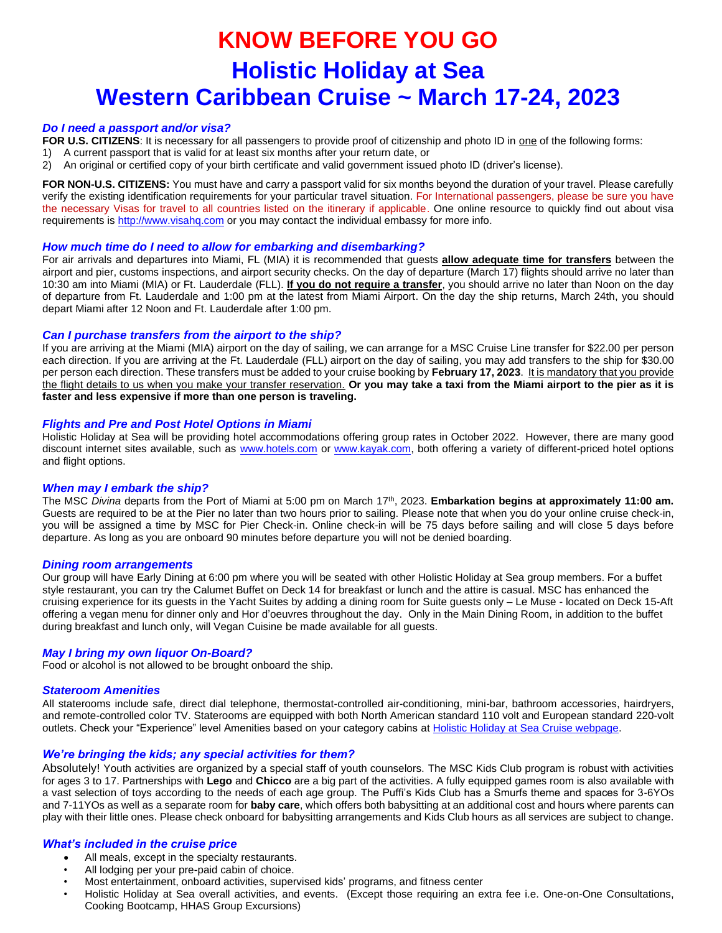# **KNOW BEFORE YOU GOHolistic Holiday at Sea Western Caribbean Cruise ~ March 17-24, 2023**

# *Do I need a passport and/or visa?*

FOR U.S. CITIZENS: It is necessary for all passengers to provide proof of citizenship and photo ID in **one of the following forms:** 

- 1) A current passport that is valid for at least six months after your return date, or
- 2) An original or certified copy of your birth certificate and valid government issued photo ID (driver's license).

**FOR NON-U.S. CITIZENS:** You must have and carry a passport valid for six months beyond the duration of your travel. Please carefully verify the existing identification requirements for your particular travel situation. For International passengers, please be sure you have the necessary Visas for travel to all countries listed on the itinerary if applicable. One online resource to quickly find out about visa requirements is [http://www.visahq.com](http://www.visahq.com/?a_aid=vaff3381) or you may contact the individual embassy for more info.

# *How much time do I need to allow for embarking and disembarking?*

For air arrivals and departures into Miami, FL (MIA) it is recommended that guests **allow adequate time for transfers** between the airport and pier, customs inspections, and airport security checks. On the day of departure (March 17) flights should arrive no later than 10:30 am into Miami (MIA) or Ft. Lauderdale (FLL). **If you do not require a transfer**, you should arrive no later than Noon on the day of departure from Ft. Lauderdale and 1:00 pm at the latest from Miami Airport. On the day the ship returns, March 24th, you should depart Miami after 12 Noon and Ft. Lauderdale after 1:00 pm.

# *Can I purchase transfers from the airport to the ship?*

If you are arriving at the Miami (MIA) airport on the day of sailing, we can arrange for a MSC Cruise Line transfer for \$22.00 per person each direction. If you are arriving at the Ft. Lauderdale (FLL) airport on the day of sailing, you may add transfers to the ship for \$30.00 per person each direction. These transfers must be added to your cruise booking by **February 17, 2023**. It is mandatory that you provide the flight details to us when you make your transfer reservation. **Or you may take a taxi from the Miami airport to the pier as it is faster and less expensive if more than one person is traveling.**

# *Flights and Pre and Post Hotel Options in Miami*

Holistic Holiday at Sea will be providing hotel accommodations offering group rates in October 2022. However, there are many good discount internet sites available, such as [www.hotels.com](http://www.hotels.com/) or [www.kayak.com,](http://www.kayak.com/) both offering a variety of different-priced hotel options and flight options.

# *When may I embark the ship?*

The MSC *Divina* departs from the Port of Miami at 5:00 pm on March 17th, 2023. **Embarkation begins at approximately 11:00 am.**  Guests are required to be at the Pier no later than two hours prior to sailing. Please note that when you do your online cruise check-in, you will be assigned a time by MSC for Pier Check-in. Online check-in will be 75 days before sailing and will close 5 days before departure. As long as you are onboard 90 minutes before departure you will not be denied boarding.

# *Dining room arrangements*

Our group will have Early Dining at 6:00 pm where you will be seated with other Holistic Holiday at Sea group members. For a buffet style restaurant, you can try the Calumet Buffet on Deck 14 for breakfast or lunch and the attire is casual. MSC has enhanced the cruising experience for its guests in the Yacht Suites by adding a dining room for Suite guests only – Le Muse - located on Deck 15-Aft offering a vegan menu for dinner only and Hor d'oeuvres throughout the day. Only in the Main Dining Room, in addition to the buffet during breakfast and lunch only, will Vegan Cuisine be made available for all guests.

# *May I bring my own liquor On-Board?*

Food or alcohol is not allowed to be brought onboard the ship.

# *Stateroom Amenities*

All staterooms include safe, direct dial telephone, thermostat-controlled air-conditioning, mini-bar, bathroom accessories, hairdryers, and remote-controlled color TV. Staterooms are equipped with both North American standard 110 volt and European standard 220-volt outlets. Check your "Experience" level Amenities based on your category cabins at [Holistic Holiday at Sea Cruise webpage.](https://holisticholidayatsea.com/March2023/)

# *We're bringing the kids; any special activities for them?*

Absolutely! Youth activities are organized by a special staff of youth counselors. The MSC Kids Club program is robust with activities for ages 3 to 17. Partnerships with **Lego** and **Chicco** are a big part of the activities. A fully equipped games room is also available with a vast selection of toys according to the needs of each age group. The Puffi's Kids Club has a Smurfs theme and spaces for 3-6YOs and 7-11YOs as well as a separate room for **baby care**, which offers both babysitting at an additional cost and hours where parents can play with their little ones. Please check onboard for babysitting arrangements and Kids Club hours as all services are subject to change.

# *What's included in the cruise price*

- All meals, except in the specialty restaurants.
- All lodging per your pre-paid cabin of choice.
- Most entertainment, onboard activities, supervised kids' programs, and fitness center
- Holistic Holiday at Sea overall activities, and events. (Except those requiring an extra fee i.e. One-on-One Consultations, Cooking Bootcamp, HHAS Group Excursions)